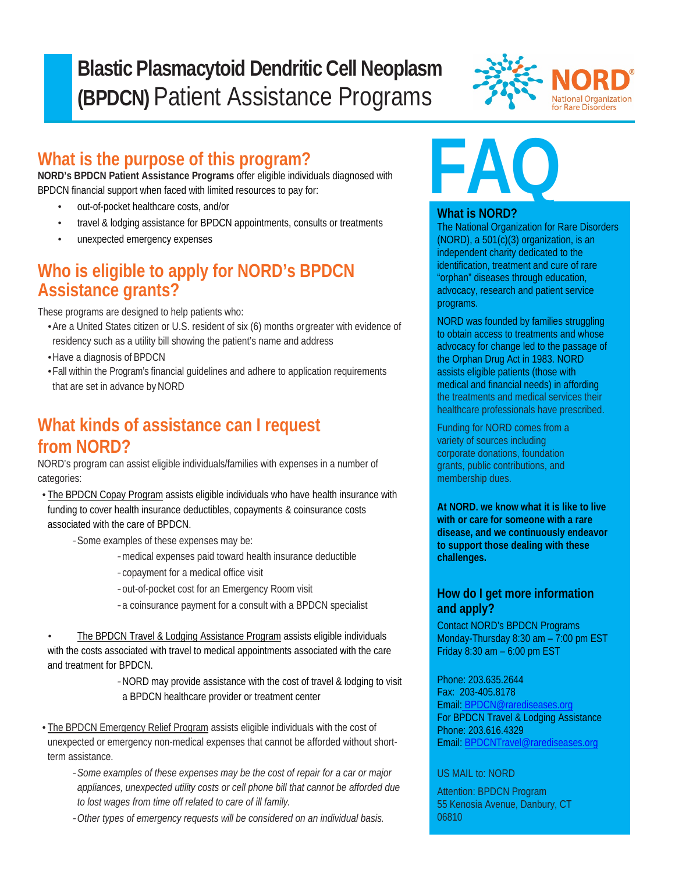### $\overline{\phantom{a}}$ **Blastic Plasmacytoid Dendritic Cell Neoplasm (BPDCN)** Patient Assistance Programs



## **What is the purpose of this program?**

**NORD's BPDCN Patient Assistance Programs** offer eligible individuals diagnosed with BPDCN financial support when faced with limited resources to pay for:

- out-of-pocket healthcare costs, and/or
- travel & lodging assistance for BPDCN appointments, consults or treatments
- unexpected emergency expenses

### **Who is eligible to apply for NORD's BPDCN Assistance grants?**

These programs are designed to help patients who:

- •Are a United States citizen or U.S. resident of six (6) months orgreater with evidence of residency such as a utility bill showing the patient's name and address
- •Have a diagnosis of BPDCN

i<br>I

•Fall within the Program's financial guidelines and adhere to application requirements that are set in advance by NORD

## **What kinds of assistance can I request from NORD?**

NORD's program can assist eligible individuals/families with expenses in a number of categories:

• The BPDCN Copay Program assists eligible individuals who have health insurance with funding to cover health insurance deductibles, copayments & coinsurance costs associated with the care of BPDCN.

*-*Some examples of these expenses may be:

- *-*medical expenses paid toward health insurance deductible
- *-*copayment for a medical office visit
- *-*out-of-pocket cost for an Emergency Room visit
- *-*a coinsurance payment for a consult with a BPDCN specialist

The BPDCN Travel & Lodging Assistance Program assists eligible individuals with the costs associated with travel to medical appointments associated with the care and treatment for BPDCN.

> *-*NORD may provide assistance with the cost of travel & lodging to visit a BPDCN healthcare provider or treatment center

• The BPDCN Emergency Relief Program assists eligible individuals with the cost of unexpected or emergency non-medical expenses that cannot be afforded without shortterm assistance.

- *-Some examples of these expenses may be the cost of repair for a car or major appliances, unexpected utility costs or cell phone bill that cannot be afforded due to lost wages from time off related to care of ill family.*
- *-Other types of emergency requests will be considered on an individual basis.*



#### **What is NORD?**

The National Organization for Rare Disorders (NORD), a 501(c)(3) organization, is an independent charity dedicated to the identification, treatment and cure of rare "orphan" diseases through education, advocacy, research and patient service programs.

NORD was founded by families struggling to obtain access to treatments and whose advocacy for change led to the passage of the Orphan Drug Act in 1983. NORD assists eligible patients (those with medical and financial needs) in affording the treatments and medical services their healthcare professionals have prescribed.

Funding for NORD comes from a variety of sources including corporate donations, foundation grants, public contributions, and membership dues.

**At NORD. we know what it is like to live with or care for someone with a rare disease, and we continuously endeavor to support those dealing with these challenges.**

### **How do I get more information and apply?**

Contact NORD's BPDCN Programs Monday-Thursday 8:30 am – 7:00 pm EST Friday 8:30 am – 6:00 pm EST

Phone: 203.635.2644 Fax: 203-405.8178 Email: [BPDCN@rarediseases.org](mailto:%20BPDCN@rarediseases.org) For BPDCN Travel & Lodging Assistance Phone: 203.616.4329 Email: [BPDCNTravel@rarediseases.org](mailto:BPDCNTravel@rarediseases.org)

#### US MAIL to: NORD

Attention: BPDCN Program 55 Kenosia Avenue, Danbury, CT 06810